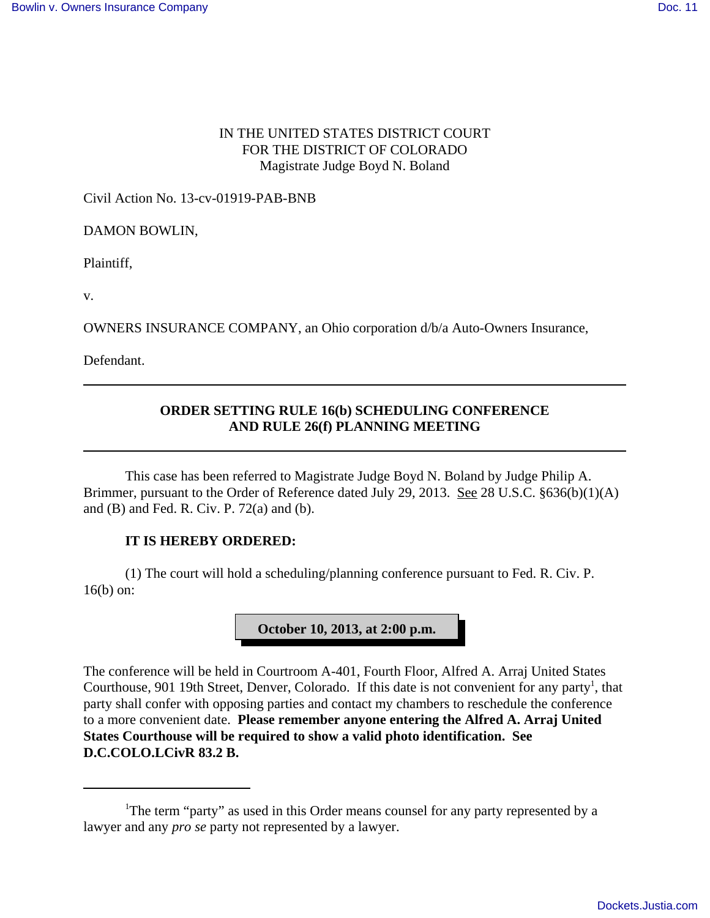### IN THE UNITED STATES DISTRICT COURT FOR THE DISTRICT OF COLORADO Magistrate Judge Boyd N. Boland

Civil Action No. 13-cv-01919-PAB-BNB

DAMON BOWLIN,

Plaintiff,

v.

OWNERS INSURANCE COMPANY, an Ohio corporation d/b/a Auto-Owners Insurance,

Defendant.

## **ORDER SETTING RULE 16(b) SCHEDULING CONFERENCE AND RULE 26(f) PLANNING MEETING**

This case has been referred to Magistrate Judge Boyd N. Boland by Judge Philip A. Brimmer, pursuant to the Order of Reference dated July 29, 2013. See 28 U.S.C. §636(b)(1)(A) and (B) and Fed. R. Civ. P. 72(a) and (b).

#### **IT IS HEREBY ORDERED:**

(1) The court will hold a scheduling/planning conference pursuant to Fed. R. Civ. P. 16(b) on:

## **October 10, 2013, at 2:00 p.m.**

The conference will be held in Courtroom A-401, Fourth Floor, Alfred A. Arraj United States Courthouse, 901 19th Street, Denver, Colorado. If this date is not convenient for any party<sup>1</sup>, that party shall confer with opposing parties and contact my chambers to reschedule the conference to a more convenient date. **Please remember anyone entering the Alfred A. Arraj United States Courthouse will be required to show a valid photo identification. See D.C.COLO.LCivR 83.2 B.**

<sup>&</sup>lt;sup>1</sup>The term "party" as used in this Order means counsel for any party represented by a lawyer and any *pro se* party not represented by a lawyer.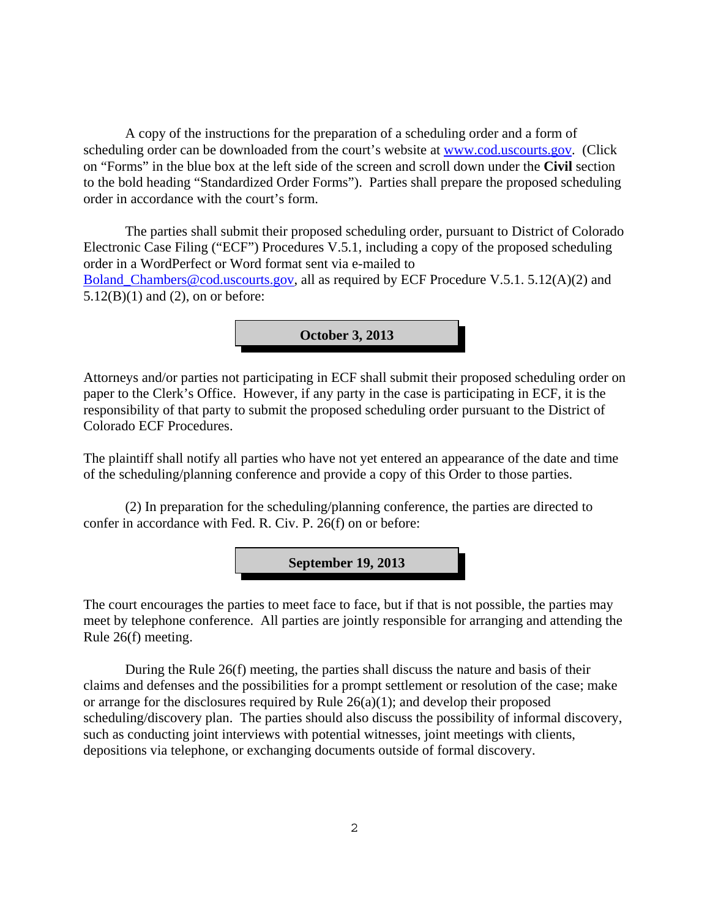A copy of the instructions for the preparation of a scheduling order and a form of scheduling order can be downloaded from the court's website at www.cod.uscourts.gov. (Click on "Forms" in the blue box at the left side of the screen and scroll down under the **Civil** section to the bold heading "Standardized Order Forms"). Parties shall prepare the proposed scheduling order in accordance with the court's form.

The parties shall submit their proposed scheduling order, pursuant to District of Colorado Electronic Case Filing ("ECF") Procedures V.5.1, including a copy of the proposed scheduling order in a WordPerfect or Word format sent via e-mailed to Boland\_Chambers@cod.uscourts.gov, all as required by ECF Procedure V.5.1. 5.12(A)(2) and  $5.12(B)(1)$  and  $(2)$ , on or before:



Attorneys and/or parties not participating in ECF shall submit their proposed scheduling order on paper to the Clerk's Office. However, if any party in the case is participating in ECF, it is the responsibility of that party to submit the proposed scheduling order pursuant to the District of Colorado ECF Procedures.

The plaintiff shall notify all parties who have not yet entered an appearance of the date and time of the scheduling/planning conference and provide a copy of this Order to those parties.

(2) In preparation for the scheduling/planning conference, the parties are directed to confer in accordance with Fed. R. Civ. P. 26(f) on or before:

**September 19, 2013**

The court encourages the parties to meet face to face, but if that is not possible, the parties may meet by telephone conference. All parties are jointly responsible for arranging and attending the Rule 26(f) meeting.

During the Rule 26(f) meeting, the parties shall discuss the nature and basis of their claims and defenses and the possibilities for a prompt settlement or resolution of the case; make or arrange for the disclosures required by Rule 26(a)(1); and develop their proposed scheduling/discovery plan. The parties should also discuss the possibility of informal discovery, such as conducting joint interviews with potential witnesses, joint meetings with clients, depositions via telephone, or exchanging documents outside of formal discovery.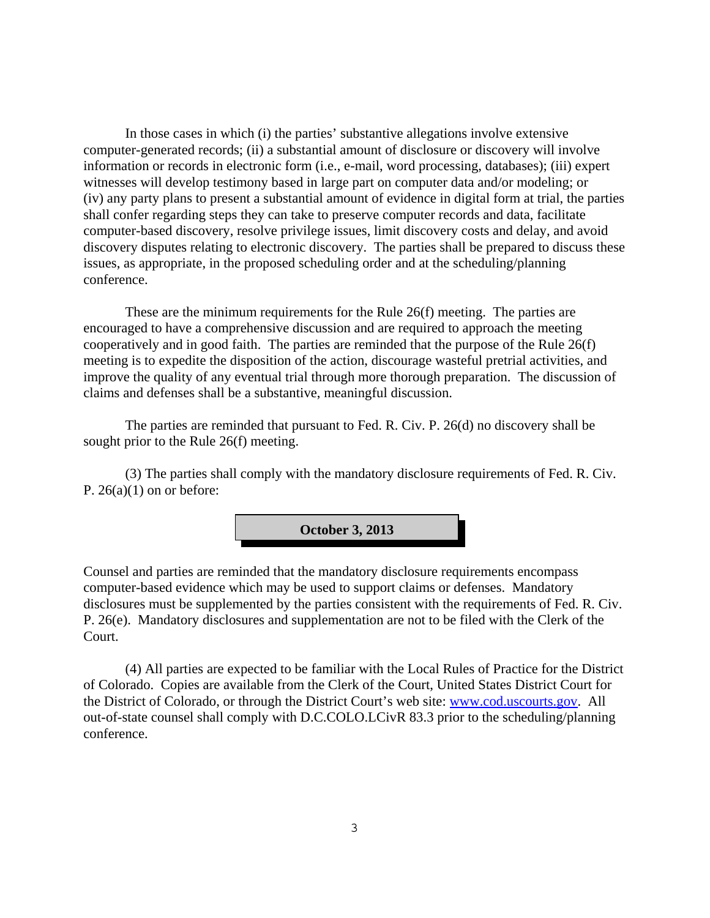In those cases in which (i) the parties' substantive allegations involve extensive computer-generated records; (ii) a substantial amount of disclosure or discovery will involve information or records in electronic form (i.e., e-mail, word processing, databases); (iii) expert witnesses will develop testimony based in large part on computer data and/or modeling; or (iv) any party plans to present a substantial amount of evidence in digital form at trial, the parties shall confer regarding steps they can take to preserve computer records and data, facilitate computer-based discovery, resolve privilege issues, limit discovery costs and delay, and avoid discovery disputes relating to electronic discovery. The parties shall be prepared to discuss these issues, as appropriate, in the proposed scheduling order and at the scheduling/planning conference.

These are the minimum requirements for the Rule 26(f) meeting. The parties are encouraged to have a comprehensive discussion and are required to approach the meeting cooperatively and in good faith. The parties are reminded that the purpose of the Rule 26(f) meeting is to expedite the disposition of the action, discourage wasteful pretrial activities, and improve the quality of any eventual trial through more thorough preparation. The discussion of claims and defenses shall be a substantive, meaningful discussion.

The parties are reminded that pursuant to Fed. R. Civ. P. 26(d) no discovery shall be sought prior to the Rule 26(f) meeting.

(3) The parties shall comply with the mandatory disclosure requirements of Fed. R. Civ. P.  $26(a)(1)$  on or before:



Counsel and parties are reminded that the mandatory disclosure requirements encompass computer-based evidence which may be used to support claims or defenses. Mandatory disclosures must be supplemented by the parties consistent with the requirements of Fed. R. Civ. P. 26(e). Mandatory disclosures and supplementation are not to be filed with the Clerk of the Court.

(4) All parties are expected to be familiar with the Local Rules of Practice for the District of Colorado. Copies are available from the Clerk of the Court, United States District Court for the District of Colorado, or through the District Court's web site: www.cod.uscourts.gov. All out-of-state counsel shall comply with D.C.COLO.LCivR 83.3 prior to the scheduling/planning conference.